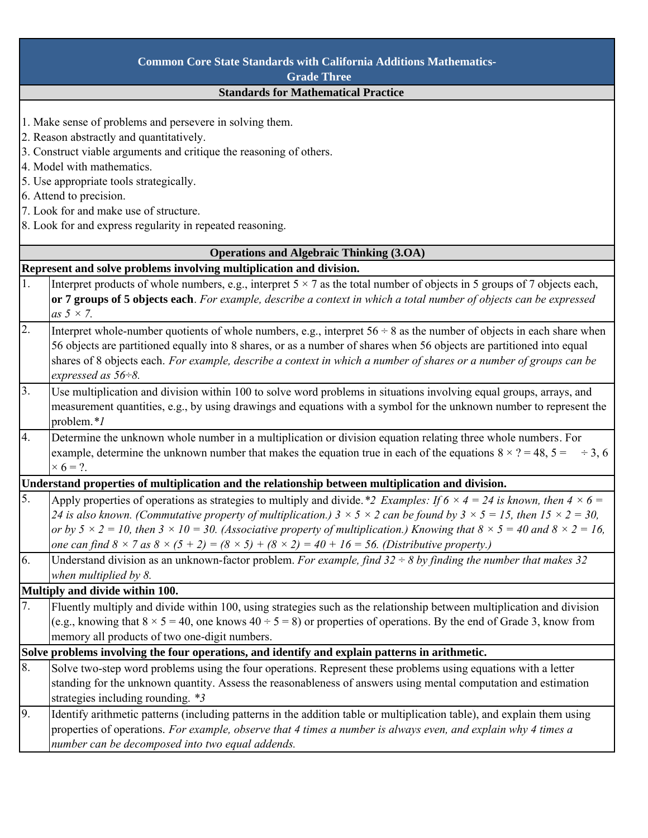| <b>Common Core State Standards with California Additions Mathematics-</b><br><b>Grade Three</b>   |                                                                                                                                                      |  |
|---------------------------------------------------------------------------------------------------|------------------------------------------------------------------------------------------------------------------------------------------------------|--|
|                                                                                                   |                                                                                                                                                      |  |
| <b>Standards for Mathematical Practice</b>                                                        |                                                                                                                                                      |  |
|                                                                                                   | 1. Make sense of problems and persevere in solving them.<br>2. Reason abstractly and quantitatively.                                                 |  |
|                                                                                                   | 3. Construct viable arguments and critique the reasoning of others.                                                                                  |  |
| 4. Model with mathematics.                                                                        |                                                                                                                                                      |  |
| 5. Use appropriate tools strategically.                                                           |                                                                                                                                                      |  |
| 6. Attend to precision.                                                                           |                                                                                                                                                      |  |
| 7. Look for and make use of structure.                                                            |                                                                                                                                                      |  |
| 8. Look for and express regularity in repeated reasoning.                                         |                                                                                                                                                      |  |
|                                                                                                   |                                                                                                                                                      |  |
|                                                                                                   | <b>Operations and Algebraic Thinking (3.OA)</b>                                                                                                      |  |
| Represent and solve problems involving multiplication and division.                               |                                                                                                                                                      |  |
| 1.                                                                                                | Interpret products of whole numbers, e.g., interpret $5 \times 7$ as the total number of objects in 5 groups of 7 objects each,                      |  |
|                                                                                                   | or 7 groups of 5 objects each. For example, describe a context in which a total number of objects can be expressed                                   |  |
|                                                                                                   | as $5 \times 7$ .                                                                                                                                    |  |
| $\overline{2}$ .                                                                                  | Interpret whole-number quotients of whole numbers, e.g., interpret $56 \div 8$ as the number of objects in each share when                           |  |
|                                                                                                   | 56 objects are partitioned equally into 8 shares, or as a number of shares when 56 objects are partitioned into equal                                |  |
|                                                                                                   | shares of 8 objects each. For example, describe a context in which a number of shares or a number of groups can be                                   |  |
|                                                                                                   | expressed as $56\div 8$ .                                                                                                                            |  |
| 3.                                                                                                | Use multiplication and division within 100 to solve word problems in situations involving equal groups, arrays, and                                  |  |
|                                                                                                   | measurement quantities, e.g., by using drawings and equations with a symbol for the unknown number to represent the                                  |  |
|                                                                                                   | problem.*/                                                                                                                                           |  |
| 4.                                                                                                | Determine the unknown whole number in a multiplication or division equation relating three whole numbers. For                                        |  |
|                                                                                                   | example, determine the unknown number that makes the equation true in each of the equations $8 \times ? = 48$ , $5 = \div 3$ , 6                     |  |
|                                                                                                   | $\times$ 6 = ?.                                                                                                                                      |  |
| Understand properties of multiplication and the relationship between multiplication and division. |                                                                                                                                                      |  |
| 5.                                                                                                | Apply properties of operations as strategies to multiply and divide. *2 Examples: If $6 \times 4 = 24$ is known, then $4 \times 6 =$                 |  |
|                                                                                                   | 24 is also known. (Commutative property of multiplication.) $3 \times 5 \times 2$ can be found by $3 \times 5 = 15$ , then $15 \times 2 = 30$ ,      |  |
|                                                                                                   | or by $5 \times 2 = 10$ , then $3 \times 10 = 30$ . (Associative property of multiplication.) Knowing that $8 \times 5 = 40$ and $8 \times 2 = 16$ , |  |
|                                                                                                   | one can find $8 \times 7$ as $8 \times (5 + 2) = (8 \times 5) + (8 \times 2) = 40 + 16 = 56$ . (Distributive property.)                              |  |
| 6.                                                                                                | Understand division as an unknown-factor problem. For example, find $32 \div 8$ by finding the number that makes 32                                  |  |
|                                                                                                   | when multiplied by 8.                                                                                                                                |  |
|                                                                                                   | Multiply and divide within 100.                                                                                                                      |  |
| 7.                                                                                                | Fluently multiply and divide within 100, using strategies such as the relationship between multiplication and division                               |  |
|                                                                                                   | (e.g., knowing that $8 \times 5 = 40$ , one knows $40 \div 5 = 8$ ) or properties of operations. By the end of Grade 3, know from                    |  |
|                                                                                                   | memory all products of two one-digit numbers.                                                                                                        |  |
| Solve problems involving the four operations, and identify and explain patterns in arithmetic.    |                                                                                                                                                      |  |
| 8.                                                                                                | Solve two-step word problems using the four operations. Represent these problems using equations with a letter                                       |  |
|                                                                                                   | standing for the unknown quantity. Assess the reasonableness of answers using mental computation and estimation                                      |  |
|                                                                                                   | strategies including rounding. *3                                                                                                                    |  |
| 9.                                                                                                |                                                                                                                                                      |  |
|                                                                                                   | Identify arithmetic patterns (including patterns in the addition table or multiplication table), and explain them using                              |  |
|                                                                                                   | properties of operations. For example, observe that 4 times a number is always even, and explain why 4 times a                                       |  |
|                                                                                                   | number can be decomposed into two equal addends.                                                                                                     |  |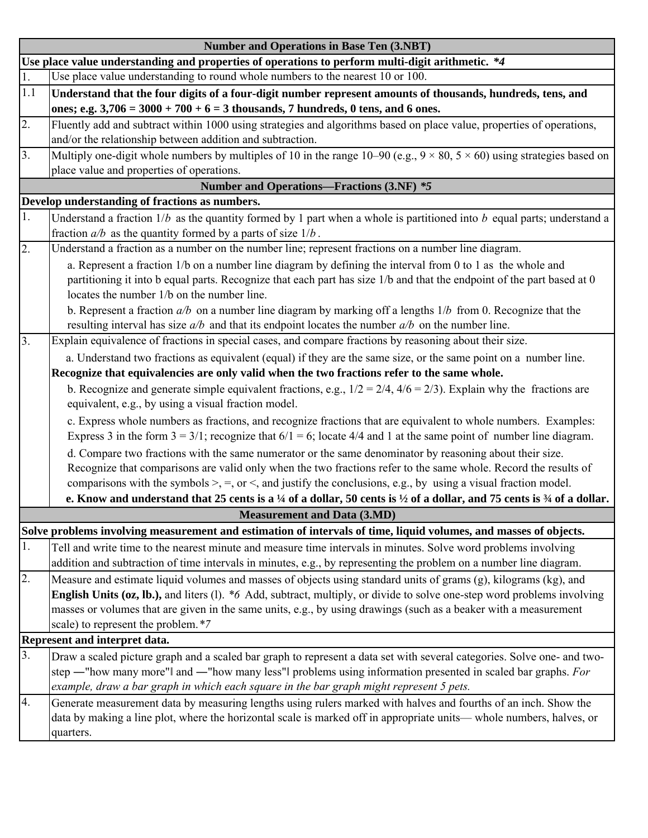| <b>Number and Operations in Base Ten (3.NBT)</b>                                                                                                                                                                                          |  |  |
|-------------------------------------------------------------------------------------------------------------------------------------------------------------------------------------------------------------------------------------------|--|--|
| Use place value understanding and properties of operations to perform multi-digit arithmetic. *4                                                                                                                                          |  |  |
| Use place value understanding to round whole numbers to the nearest 10 or 100.                                                                                                                                                            |  |  |
| Understand that the four digits of a four-digit number represent amounts of thousands, hundreds, tens, and                                                                                                                                |  |  |
| ones; e.g. $3,706 = 3000 + 700 + 6 = 3$ thousands, 7 hundreds, 0 tens, and 6 ones.                                                                                                                                                        |  |  |
| Fluently add and subtract within 1000 using strategies and algorithms based on place value, properties of operations,                                                                                                                     |  |  |
| and/or the relationship between addition and subtraction.                                                                                                                                                                                 |  |  |
| Multiply one-digit whole numbers by multiples of 10 in the range 10–90 (e.g., $9 \times 80$ , $5 \times 60$ ) using strategies based on                                                                                                   |  |  |
| place value and properties of operations.                                                                                                                                                                                                 |  |  |
| <b>Number and Operations—Fractions (3.NF) *5</b>                                                                                                                                                                                          |  |  |
| Develop understanding of fractions as numbers.                                                                                                                                                                                            |  |  |
| Understand a fraction $1/b$ as the quantity formed by 1 part when a whole is partitioned into $b$ equal parts; understand a<br>fraction $a/b$ as the quantity formed by a parts of size $1/b$ .                                           |  |  |
| Understand a fraction as a number on the number line; represent fractions on a number line diagram.                                                                                                                                       |  |  |
| a. Represent a fraction 1/b on a number line diagram by defining the interval from 0 to 1 as the whole and                                                                                                                                |  |  |
| partitioning it into b equal parts. Recognize that each part has size 1/b and that the endpoint of the part based at 0                                                                                                                    |  |  |
| locates the number 1/b on the number line.                                                                                                                                                                                                |  |  |
| b. Represent a fraction $a/b$ on a number line diagram by marking off a lengths $1/b$ from 0. Recognize that the                                                                                                                          |  |  |
| resulting interval has size $a/b$ and that its endpoint locates the number $a/b$ on the number line.                                                                                                                                      |  |  |
| Explain equivalence of fractions in special cases, and compare fractions by reasoning about their size.                                                                                                                                   |  |  |
| a. Understand two fractions as equivalent (equal) if they are the same size, or the same point on a number line.                                                                                                                          |  |  |
| Recognize that equivalencies are only valid when the two fractions refer to the same whole.                                                                                                                                               |  |  |
| b. Recognize and generate simple equivalent fractions, e.g., $1/2 = 2/4$ , $4/6 = 2/3$ ). Explain why the fractions are                                                                                                                   |  |  |
| equivalent, e.g., by using a visual fraction model.                                                                                                                                                                                       |  |  |
| c. Express whole numbers as fractions, and recognize fractions that are equivalent to whole numbers. Examples:<br>Express 3 in the form $3 = 3/1$ ; recognize that $6/1 = 6$ ; locate 4/4 and 1 at the same point of number line diagram. |  |  |
| d. Compare two fractions with the same numerator or the same denominator by reasoning about their size.                                                                                                                                   |  |  |
| Recognize that comparisons are valid only when the two fractions refer to the same whole. Record the results of                                                                                                                           |  |  |
| comparisons with the symbols $\geq$ , $=$ , or $\leq$ , and justify the conclusions, e.g., by using a visual fraction model.                                                                                                              |  |  |
| e. Know and understand that 25 cents is a $\frac{1}{4}$ of a dollar, 50 cents is $\frac{1}{2}$ of a dollar, and 75 cents is $\frac{3}{4}$ of a dollar.                                                                                    |  |  |
| <b>Measurement and Data (3.MD)</b>                                                                                                                                                                                                        |  |  |
| Solve problems involving measurement and estimation of intervals of time, liquid volumes, and masses of objects.                                                                                                                          |  |  |
| Tell and write time to the nearest minute and measure time intervals in minutes. Solve word problems involving                                                                                                                            |  |  |
| addition and subtraction of time intervals in minutes, e.g., by representing the problem on a number line diagram.                                                                                                                        |  |  |
| Measure and estimate liquid volumes and masses of objects using standard units of grams (g), kilograms (kg), and                                                                                                                          |  |  |
| English Units (oz, lb.), and liters (1). *6 Add, subtract, multiply, or divide to solve one-step word problems involving                                                                                                                  |  |  |
| masses or volumes that are given in the same units, e.g., by using drawings (such as a beaker with a measurement                                                                                                                          |  |  |
| scale) to represent the problem. *7                                                                                                                                                                                                       |  |  |
| <b>Represent and interpret data.</b><br>3.                                                                                                                                                                                                |  |  |
| Draw a scaled picture graph and a scaled bar graph to represent a data set with several categories. Solve one- and two-                                                                                                                   |  |  |
| step -"how many more"  and -"how many less"  problems using information presented in scaled bar graphs. For                                                                                                                               |  |  |
| example, draw a bar graph in which each square in the bar graph might represent 5 pets.<br>Generate measurement data by measuring lengths using rulers marked with halves and fourths of an inch. Show the                                |  |  |
| data by making a line plot, where the horizontal scale is marked off in appropriate units—whole numbers, halves, or                                                                                                                       |  |  |
| quarters.                                                                                                                                                                                                                                 |  |  |
|                                                                                                                                                                                                                                           |  |  |